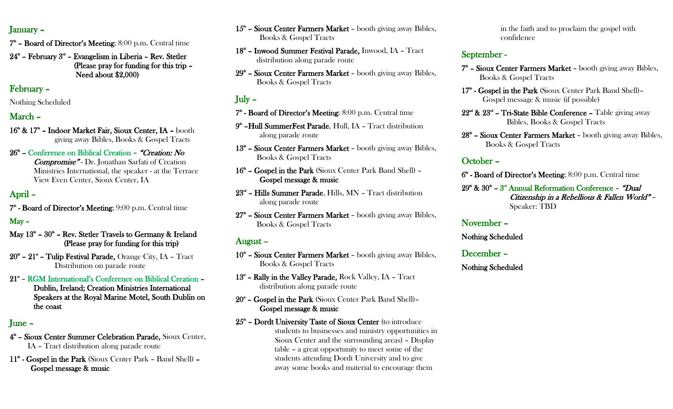#### January –

- $7<sup>th</sup>$  Board of Director's Meeting; 8:00 p.m. Central time
- $24<sup>th</sup>$  February  $3<sup>nt</sup>$  Evangelism in Liberia Rev. Stetler (Please pray for funding for this trip – Need about \$2,000)

# February –

#### Nothing Scheduled

# March –

- 16<sup>th</sup> & 17<sup>th</sup> Indoor Market Fair, Sioux Center, IA booth giving away Bibles, Books & Gospel Tracts
- 26<sup>th</sup> Conference on Biblical Creation "Creation: No Compromise" - Dr. Jonathan Sarfati of Creation Ministries International, the speaker - at the Terrace View Even Center, Sioux Center, IA

# April –

 $7^*$  - Board of Director's Meeting;  $9:00$  p.m. Central time

# May –

- May  $13<sup>th</sup>$   $30<sup>th</sup>$  Rev. Stetler Travels to Germany & Ireland (Please pray for funding for this trip)
- $20<sup>th</sup>$   $21<sup>th</sup>$  Tulip Festival Parade, Orange City, IA Tract Distribution on parade route
- 21<sup>\*</sup> RGM International's Conference on Biblical Creation -Dublin, Ireland; Creation Ministries International Speakers at the Royal Marine Motel, South Dublin on the coast

## June –

- 4 th Sioux Center Summer Celebration Parade, Sioux Center, IA – Tract distribution along parade route
- 11<sup>th</sup> Gospel in the Park (Sioux Center Park Band Shell) -Gospel message & music
- 15<sup>th</sup> Sioux Center Farmers Market booth giving away Bibles, Books & Gospel Tracts
- 18<sup>th</sup> Inwood Summer Festival Parade, Inwood, IA Tract distribution along parade route
- 29<sup>th</sup> Sioux Center Farmers Market booth giving away Bibles, Books & Gospel Tracts

# July –

- 7<sup>th</sup> Board of Director's Meeting; 8:00 p.m. Central time
- 9<sup>th</sup> Hull SummerFest Parade, Hull, IA Tract distribution along parade route
- 13<sup>th</sup> Sioux Center Farmers Market booth giving away Bibles, Books & Gospel Tracts
- 16<sup>th</sup> Gospel in the Park (Sioux Center Park Band Shell) -Gospel message & music
- 23<sup>rd</sup> Hills Summer Parade, Hills, MN Tract distribution along parade route
- $27<sup>th</sup>$  Sioux Center Farmers Market booth giving away Bibles, Books & Gospel Tracts

# August –

- 10<sup>th</sup> Sioux Center Farmers Market booth giving away Bibles, Books & Gospel Tracts
- 13<sup>\*</sup> Rally in the Valley Parade, Rock Valley, IA Tract distribution along parade route
- 20\* Gospel in the Park (Sioux Center Park Band Shell)-Gospel message & music
- $25<sup>th</sup>$  Dordt University Taste of Sioux Center (to introduce students to businesses and ministry opportunities in Sioux Center and the surrounding areas) – Display table – a great opportunity to meet some of the students attending Dordt University and to give away some books and material to encourage them

in the faith and to proclaim the gospel with confidence

# September -

- $7^*$  Sioux Center Farmers Market booth giving away Bibles, Books & Gospel Tracts
- 17<sup>th</sup> Gospel in the Park (Sioux Center Park Band Shell)-Gospel message & music (if possible)
- $22<sup>nd</sup>$  &  $23<sup>nd</sup>$  Tri-State Bible Conference Table giving away Bibles, Books & Gospel Tracts
- 28<sup>th</sup> Sioux Center Farmers Market booth giving away Bibles, Books & Gospel Tracts

# October –

- 6<sup>th</sup> Board of Director's Meeting; 8:00 p.m. Central time
- $29^{\text{th}}$  &  $30^{\text{th}}$   $3^{\text{rd}}$  Annual Reformation Conference "Dual Citizenship in a Rebellious & Fallen World" – Speaker: TBD

# November –

#### Nothing Scheduled

## December –

Nothing Scheduled